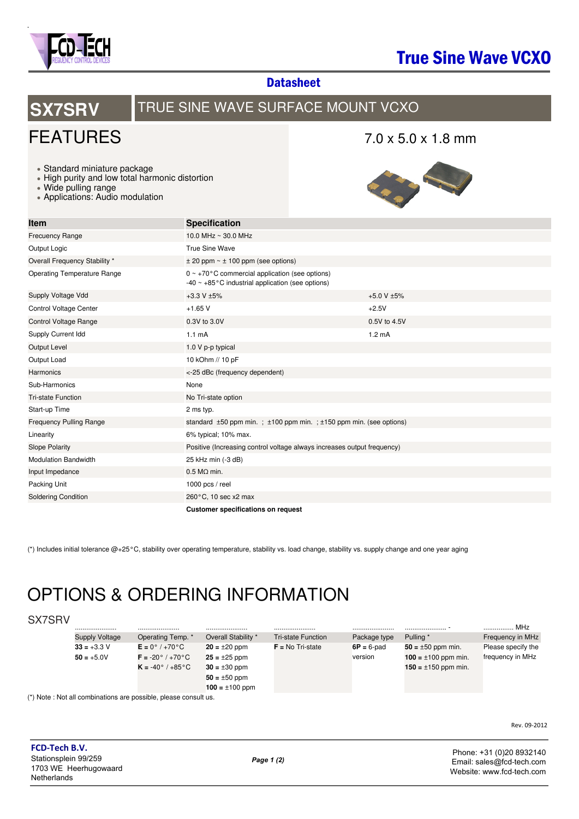

## True Sine Wave VCXO

**Datasheet** 

# **SX7SRV** TRUE SINE WAVE SURFACE MOUNT VCXO

# FEATURES

### 7.0 x 5.0 x 1.8 mm

- Standard miniature package
- High purity and low total harmonic distortion
- Wide pulling range
- Applications: Audio modulation



| <b>Item</b>                        | <b>Specification</b>                                                                                           |                  |  |  |
|------------------------------------|----------------------------------------------------------------------------------------------------------------|------------------|--|--|
| <b>Frecuency Range</b>             | 10.0 MHz ~ 30.0 MHz                                                                                            |                  |  |  |
| Output Logic                       | <b>True Sine Wave</b>                                                                                          |                  |  |  |
| Overall Frequency Stability *      | $\pm$ 20 ppm $\sim$ $\pm$ 100 ppm (see options)                                                                |                  |  |  |
| <b>Operating Temperature Range</b> | $0 \sim +70$ °C commercial application (see options)<br>$-40 \sim +85$ °C industrial application (see options) |                  |  |  |
| Supply Voltage Vdd                 | $+3.3 V \pm 5%$                                                                                                | +5.0 V $\pm$ 5%  |  |  |
| <b>Control Voltage Center</b>      | $+1.65$ V                                                                                                      | $+2.5V$          |  |  |
| <b>Control Voltage Range</b>       | 0.3V to 3.0V                                                                                                   | 0.5V to 4.5V     |  |  |
| Supply Current Idd                 | $1.1 \text{ mA}$                                                                                               | $1.2 \text{ mA}$ |  |  |
| Output Level                       | 1.0 V p-p typical                                                                                              |                  |  |  |
| Output Load                        | 10 kOhm // 10 pF                                                                                               |                  |  |  |
| Harmonics                          | <-25 dBc (frequency dependent)                                                                                 |                  |  |  |
| Sub-Harmonics                      | None                                                                                                           |                  |  |  |
| <b>Tri-state Function</b>          | No Tri-state option                                                                                            |                  |  |  |
| Start-up Time                      | 2 ms typ.                                                                                                      |                  |  |  |
| <b>Frequency Pulling Range</b>     | standard $\pm 50$ ppm min.; $\pm 100$ ppm min.; $\pm 150$ ppm min. (see options)                               |                  |  |  |
| Linearity                          | 6% typical; 10% max.                                                                                           |                  |  |  |
| <b>Slope Polarity</b>              | Positive (Increasing control voltage always increases output frequency)                                        |                  |  |  |
| <b>Modulation Bandwidth</b>        | 25 kHz min (-3 dB)                                                                                             |                  |  |  |
| Input Impedance                    | $0.5 M\Omega$ min.                                                                                             |                  |  |  |
| Packing Unit                       | 1000 pcs / reel                                                                                                |                  |  |  |
| <b>Soldering Condition</b>         | 260°C, 10 sec x2 max                                                                                           |                  |  |  |
|                                    | <b>Customer specifications on request</b>                                                                      |                  |  |  |

(\*) Includes initial tolerance @+25°C, stability over operating temperature, stability vs. load change, stability vs. supply change and one year aging

# OPTIONS & ORDERING INFORMATION

| SX7SRV |                       |                                                                  |                     |                           |               |                          |                    |
|--------|-----------------------|------------------------------------------------------------------|---------------------|---------------------------|---------------|--------------------------|--------------------|
|        |                       |                                                                  |                     |                           |               |                          | MHz                |
|        | <b>Supply Voltage</b> | Operating Temp. *                                                | Overall Stability * | <b>Tri-state Function</b> | Package type  | Pulling *                | Frequency in MHz   |
|        | $33 = +3.3$ V         | $E = 0^{\circ}/+70^{\circ}C$                                     | $20 = \pm 20$ ppm   | $F = No Tri-state$        | $6P = 6$ -pad | $50 = \pm 50$ ppm min.   | Please specify the |
|        | $50 = +5.0V$          | $F = -20^{\circ}$ / +70 $^{\circ}$ C                             | $25 = \pm 25$ ppm   |                           | version       | $100 = \pm 100$ ppm min. | frequency in MHz   |
|        |                       | $K = -40^{\circ}$ / $+85^{\circ}$ C                              | $30 = \pm 30$ ppm   |                           |               | $150 = \pm 150$ ppm min. |                    |
|        |                       |                                                                  | $50 = \pm 50$ ppm   |                           |               |                          |                    |
|        |                       |                                                                  | $100 = \pm 100$ ppm |                           |               |                          |                    |
|        |                       | (*) Note : Not all combinations are possible, please consult us. |                     |                           |               |                          |                    |

 $(*)$  Note

Rev. 09-2012